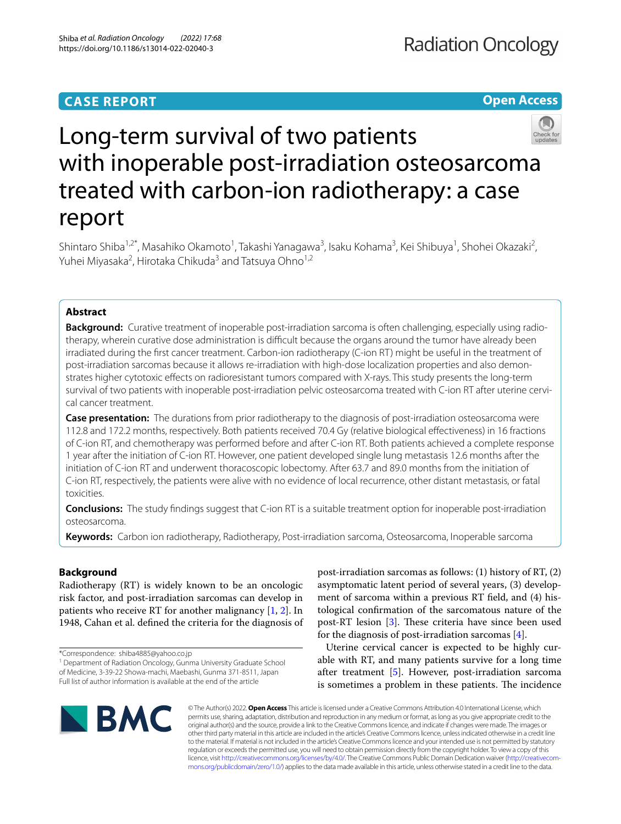## **CASE REPORT**

**Open Access**



# Long-term survival of two patients with inoperable post-irradiation osteosarcoma treated with carbon-ion radiotherapy: a case report

Shintaro Shiba<sup>1,2\*</sup>, Masahiko Okamoto<sup>1</sup>, Takashi Yanagawa<sup>3</sup>, Isaku Kohama<sup>3</sup>, Kei Shibuya<sup>1</sup>, Shohei Okazaki<sup>2</sup>, Yuhei Miyasaka<sup>2</sup>, Hirotaka Chikuda<sup>3</sup> and Tatsuya Ohno<sup>1,2</sup>

## **Abstract**

**Background:** Curative treatment of inoperable post-irradiation sarcoma is often challenging, especially using radiotherapy, wherein curative dose administration is difficult because the organs around the tumor have already been irradiated during the frst cancer treatment. Carbon-ion radiotherapy (C-ion RT) might be useful in the treatment of post-irradiation sarcomas because it allows re-irradiation with high-dose localization properties and also demonstrates higher cytotoxic efects on radioresistant tumors compared with X-rays. This study presents the long-term survival of two patients with inoperable post-irradiation pelvic osteosarcoma treated with C-ion RT after uterine cervical cancer treatment.

**Case presentation:** The durations from prior radiotherapy to the diagnosis of post-irradiation osteosarcoma were 112.8 and 172.2 months, respectively. Both patients received 70.4 Gy (relative biological efectiveness) in 16 fractions of C-ion RT, and chemotherapy was performed before and after C-ion RT. Both patients achieved a complete response 1 year after the initiation of C-ion RT. However, one patient developed single lung metastasis 12.6 months after the initiation of C-ion RT and underwent thoracoscopic lobectomy. After 63.7 and 89.0 months from the initiation of C-ion RT, respectively, the patients were alive with no evidence of local recurrence, other distant metastasis, or fatal toxicities.

**Conclusions:** The study fndings suggest that C-ion RT is a suitable treatment option for inoperable post-irradiation osteosarcoma.

**Keywords:** Carbon ion radiotherapy, Radiotherapy, Post-irradiation sarcoma, Osteosarcoma, Inoperable sarcoma

## **Background**

Radiotherapy (RT) is widely known to be an oncologic risk factor, and post-irradiation sarcomas can develop in patients who receive RT for another malignancy [\[1](#page-4-0), [2\]](#page-4-1). In 1948, Cahan et al. defned the criteria for the diagnosis of

\*Correspondence: shiba4885@yahoo.co.jp

<sup>1</sup> Department of Radiation Oncology, Gunma University Graduate School of Medicine, 3-39-22 Showa-machi, Maebashi, Gunma 371-8511, Japan Full list of author information is available at the end of the article

post-irradiation sarcomas as follows: (1) history of RT, (2) asymptomatic latent period of several years, (3) development of sarcoma within a previous RT feld, and (4) histological confrmation of the sarcomatous nature of the post-RT lesion  $[3]$  $[3]$ . These criteria have since been used for the diagnosis of post-irradiation sarcomas [\[4](#page-4-3)].

Uterine cervical cancer is expected to be highly curable with RT, and many patients survive for a long time after treatment [[5\]](#page-4-4). However, post-irradiation sarcoma is sometimes a problem in these patients. The incidence



© The Author(s) 2022. **Open Access** This article is licensed under a Creative Commons Attribution 4.0 International License, which permits use, sharing, adaptation, distribution and reproduction in any medium or format, as long as you give appropriate credit to the original author(s) and the source, provide a link to the Creative Commons licence, and indicate if changes were made. The images or other third party material in this article are included in the article's Creative Commons licence, unless indicated otherwise in a credit line to the material. If material is not included in the article's Creative Commons licence and your intended use is not permitted by statutory regulation or exceeds the permitted use, you will need to obtain permission directly from the copyright holder. To view a copy of this licence, visit [http://creativecommons.org/licenses/by/4.0/.](http://creativecommons.org/licenses/by/4.0/) The Creative Commons Public Domain Dedication waiver ([http://creativecom](http://creativecommons.org/publicdomain/zero/1.0/)[mons.org/publicdomain/zero/1.0/\)](http://creativecommons.org/publicdomain/zero/1.0/) applies to the data made available in this article, unless otherwise stated in a credit line to the data.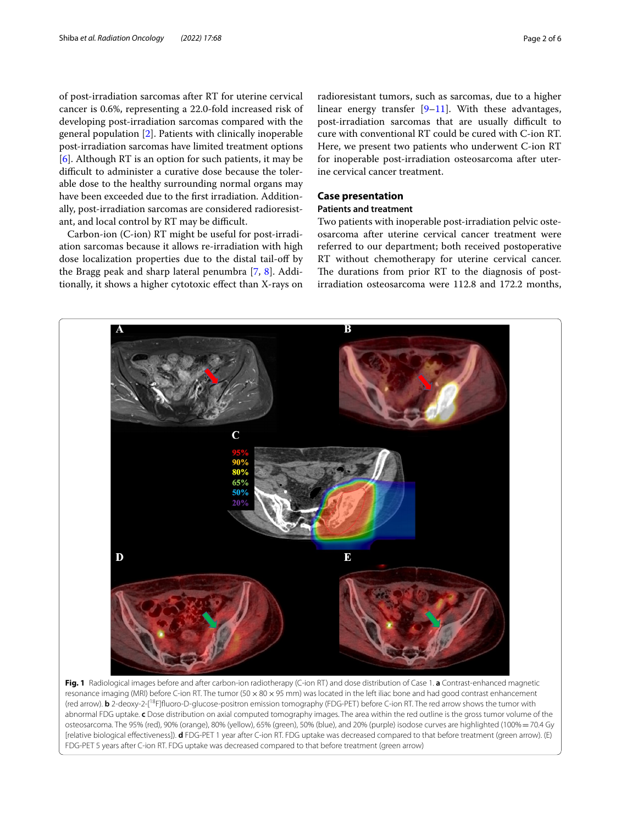of post-irradiation sarcomas after RT for uterine cervical cancer is 0.6%, representing a 22.0-fold increased risk of developing post-irradiation sarcomas compared with the general population [\[2](#page-4-1)]. Patients with clinically inoperable post-irradiation sarcomas have limited treatment options [[6\]](#page-4-5). Although RT is an option for such patients, it may be difficult to administer a curative dose because the tolerable dose to the healthy surrounding normal organs may have been exceeded due to the frst irradiation. Additionally, post-irradiation sarcomas are considered radioresistant, and local control by RT may be difficult.

Carbon-ion (C-ion) RT might be useful for post-irradiation sarcomas because it allows re-irradiation with high dose localization properties due to the distal tail-of by the Bragg peak and sharp lateral penumbra [\[7](#page-4-6), [8](#page-4-7)]. Additionally, it shows a higher cytotoxic efect than X-rays on

radioresistant tumors, such as sarcomas, due to a higher linear energy transfer  $[9-11]$  $[9-11]$  $[9-11]$ . With these advantages, post-irradiation sarcomas that are usually difficult to cure with conventional RT could be cured with C-ion RT. Here, we present two patients who underwent C-ion RT for inoperable post-irradiation osteosarcoma after uterine cervical cancer treatment.

## **Case presentation**

## **Patients and treatment**

Two patients with inoperable post-irradiation pelvic osteosarcoma after uterine cervical cancer treatment were referred to our department; both received postoperative RT without chemotherapy for uterine cervical cancer. The durations from prior RT to the diagnosis of postirradiation osteosarcoma were 112.8 and 172.2 months,



<span id="page-1-0"></span>resonance imaging (MRI) before C-ion RT. The tumor (50 x 80 x 95 mm) was located in the left iliac bone and had good contrast enhancement (red arrow). **b** 2-deoxy-2-[18F]fuoro-D-glucose-positron emission tomography (FDG-PET) before C-ion RT. The red arrow shows the tumor with abnormal FDG uptake. **c** Dose distribution on axial computed tomography images. The area within the red outline is the gross tumor volume of the osteosarcoma. The 95% (red), 90% (orange), 80% (yellow), 65% (green), 50% (blue), and 20% (purple) isodose curves are highlighted (100%=70.4 Gy [relative biological efectiveness]). **d** FDG-PET 1 year after C-ion RT. FDG uptake was decreased compared to that before treatment (green arrow). (E) FDG-PET 5 years after C-ion RT. FDG uptake was decreased compared to that before treatment (green arrow)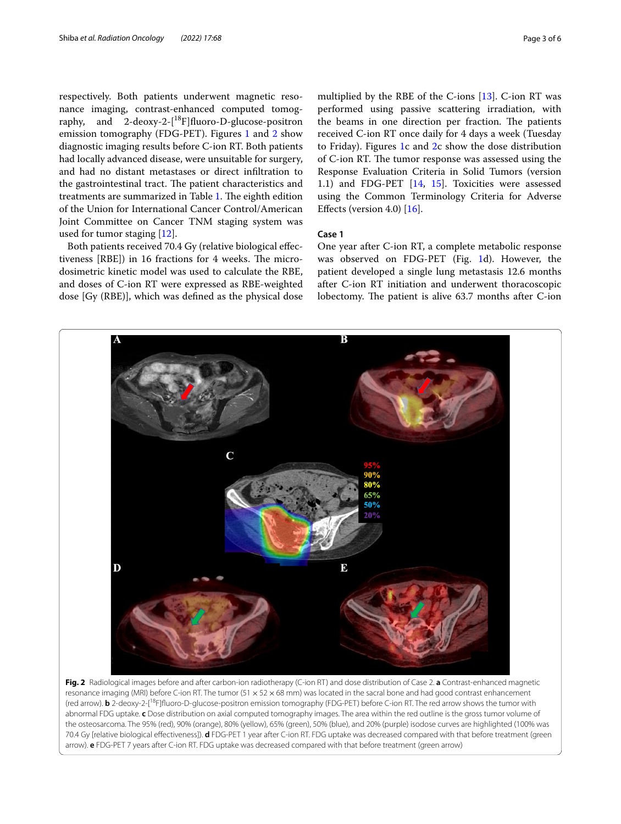respectively. Both patients underwent magnetic resonance imaging, contrast-enhanced computed tomography, and 2-deoxy-2-[18F]fuoro-D-glucose-positron emission tomography (FDG-PET). Figures [1](#page-1-0) and [2](#page-2-0) show diagnostic imaging results before C-ion RT. Both patients had locally advanced disease, were unsuitable for surgery, and had no distant metastases or direct infltration to the gastrointestinal tract. The patient characteristics and treatments are summarized in Table [1](#page-3-0). The eighth edition of the Union for International Cancer Control/American Joint Committee on Cancer TNM staging system was used for tumor staging [[12\]](#page-4-10).

Both patients received 70.4 Gy (relative biological efectiveness [RBE]) in 16 fractions for 4 weeks. The microdosimetric kinetic model was used to calculate the RBE, and doses of C-ion RT were expressed as RBE-weighted dose [Gy (RBE)], which was defned as the physical dose multiplied by the RBE of the C-ions [\[13\]](#page-4-11). C-ion RT was performed using passive scattering irradiation, with the beams in one direction per fraction. The patients received C-ion RT once daily for 4 days a week (Tuesday to Friday). Figures [1c](#page-1-0) and [2c](#page-2-0) show the dose distribution of C-ion RT. The tumor response was assessed using the Response Evaluation Criteria in Solid Tumors (version 1.1) and FDG-PET [\[14,](#page-4-12) [15](#page-5-0)]. Toxicities were assessed using the Common Terminology Criteria for Adverse Efects (version 4.0) [[16](#page-5-1)].

## **Case 1**

One year after C-ion RT, a complete metabolic response was observed on FDG-PET (Fig. [1d](#page-1-0)). However, the patient developed a single lung metastasis 12.6 months after C-ion RT initiation and underwent thoracoscopic lobectomy. The patient is alive 63.7 months after C-ion



<span id="page-2-0"></span>resonance imaging (MRI) before C-ion RT. The tumor (51  $\times$  52  $\times$  68 mm) was located in the sacral bone and had good contrast enhancement (red arrow). **b** 2-deoxy-2-[18F]fuoro-D-glucose-positron emission tomography (FDG-PET) before C-ion RT. The red arrow shows the tumor with abnormal FDG uptake. **c** Dose distribution on axial computed tomography images. The area within the red outline is the gross tumor volume of the osteosarcoma. The 95% (red), 90% (orange), 80% (yellow), 65% (green), 50% (blue), and 20% (purple) isodose curves are highlighted (100% was 70.4 Gy [relative biological efectiveness]). **d** FDG-PET 1 year after C-ion RT. FDG uptake was decreased compared with that before treatment (green arrow). **e** FDG-PET 7 years after C-ion RT. FDG uptake was decreased compared with that before treatment (green arrow)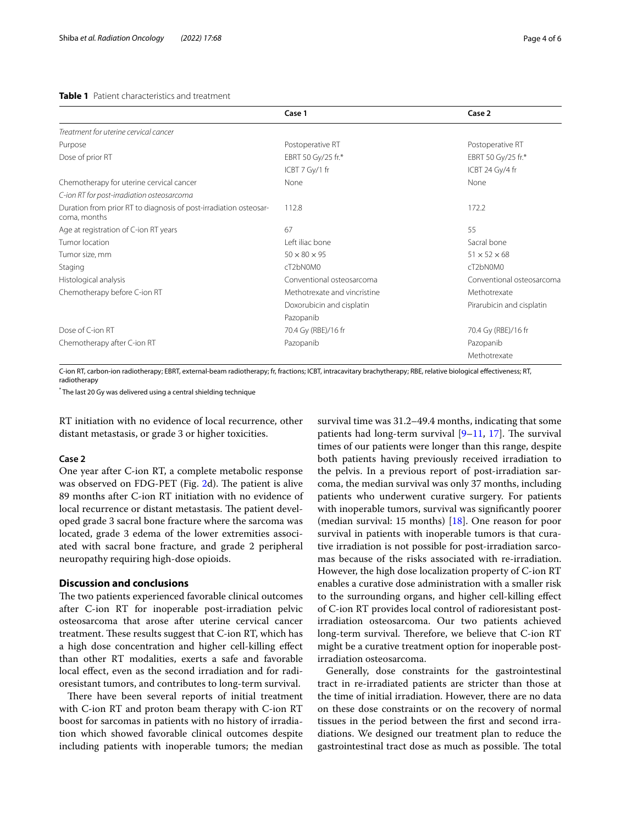## <span id="page-3-0"></span>**Table 1** Patient characteristics and treatment

|                                                                                   | Case 1                       | Case 2                    |
|-----------------------------------------------------------------------------------|------------------------------|---------------------------|
| Treatment for uterine cervical cancer                                             |                              |                           |
| Purpose                                                                           | Postoperative RT             | Postoperative RT          |
| Dose of prior RT                                                                  | EBRT 50 Gy/25 fr.*           | EBRT 50 Gy/25 fr.*        |
|                                                                                   | ICBT 7 Gy/1 fr               | ICBT 24 Gy/4 fr           |
| Chemotherapy for uterine cervical cancer                                          | None                         | None                      |
| C-ion RT for post-irradiation osteosarcoma                                        |                              |                           |
| Duration from prior RT to diagnosis of post-irradiation osteosar-<br>coma, months | 112.8                        | 172.2                     |
| Age at registration of C-ion RT years                                             | 67                           | 55                        |
| Tumor location                                                                    | Left iliac bone              | Sacral bone               |
| Tumor size, mm                                                                    | $50 \times 80 \times 95$     | $51 \times 52 \times 68$  |
| Staging                                                                           | cT2bN0M0                     | cT2bN0M0                  |
| Histological analysis                                                             | Conventional osteosarcoma    | Conventional osteosarcoma |
| Chemotherapy before C-ion RT                                                      | Methotrexate and vincristine | Methotrexate              |
|                                                                                   | Doxorubicin and cisplatin    | Pirarubicin and cisplatin |
|                                                                                   | Pazopanib                    |                           |
| Dose of C-ion RT                                                                  | 70.4 Gy (RBE)/16 fr          | 70.4 Gy (RBE)/16 fr       |
| Chemotherapy after C-ion RT                                                       | Pazopanib                    | Pazopanib                 |
|                                                                                   |                              | Methotrexate              |

C-ion RT, carbon-ion radiotherapy; EBRT, external-beam radiotherapy; fr, fractions; ICBT, intracavitary brachytherapy; RBE, relative biological efectiveness; RT, radiotherapy

\* The last 20 Gy was delivered using a central shielding technique

RT initiation with no evidence of local recurrence, other distant metastasis, or grade 3 or higher toxicities.

## **Case 2**

One year after C-ion RT, a complete metabolic response was observed on FDG-PET (Fig. [2d](#page-2-0)). The patient is alive 89 months after C-ion RT initiation with no evidence of local recurrence or distant metastasis. The patient developed grade 3 sacral bone fracture where the sarcoma was located, grade 3 edema of the lower extremities associated with sacral bone fracture, and grade 2 peripheral neuropathy requiring high-dose opioids.

## **Discussion and conclusions**

The two patients experienced favorable clinical outcomes after C-ion RT for inoperable post-irradiation pelvic osteosarcoma that arose after uterine cervical cancer treatment. These results suggest that C-ion RT, which has a high dose concentration and higher cell-killing efect than other RT modalities, exerts a safe and favorable local efect, even as the second irradiation and for radioresistant tumors, and contributes to long-term survival.

There have been several reports of initial treatment with C-ion RT and proton beam therapy with C-ion RT boost for sarcomas in patients with no history of irradiation which showed favorable clinical outcomes despite including patients with inoperable tumors; the median survival time was 31.2–49.4 months, indicating that some patients had long-term survival  $[9-11, 17]$  $[9-11, 17]$  $[9-11, 17]$  $[9-11, 17]$ . The survival times of our patients were longer than this range, despite both patients having previously received irradiation to the pelvis. In a previous report of post-irradiation sarcoma, the median survival was only 37 months, including patients who underwent curative surgery. For patients with inoperable tumors, survival was signifcantly poorer (median survival: 15 months) [[18\]](#page-5-3). One reason for poor survival in patients with inoperable tumors is that curative irradiation is not possible for post-irradiation sarcomas because of the risks associated with re-irradiation. However, the high dose localization property of C-ion RT enables a curative dose administration with a smaller risk to the surrounding organs, and higher cell-killing efect of C-ion RT provides local control of radioresistant postirradiation osteosarcoma. Our two patients achieved long-term survival. Therefore, we believe that C-ion RT might be a curative treatment option for inoperable postirradiation osteosarcoma.

Generally, dose constraints for the gastrointestinal tract in re-irradiated patients are stricter than those at the time of initial irradiation. However, there are no data on these dose constraints or on the recovery of normal tissues in the period between the frst and second irradiations. We designed our treatment plan to reduce the gastrointestinal tract dose as much as possible. The total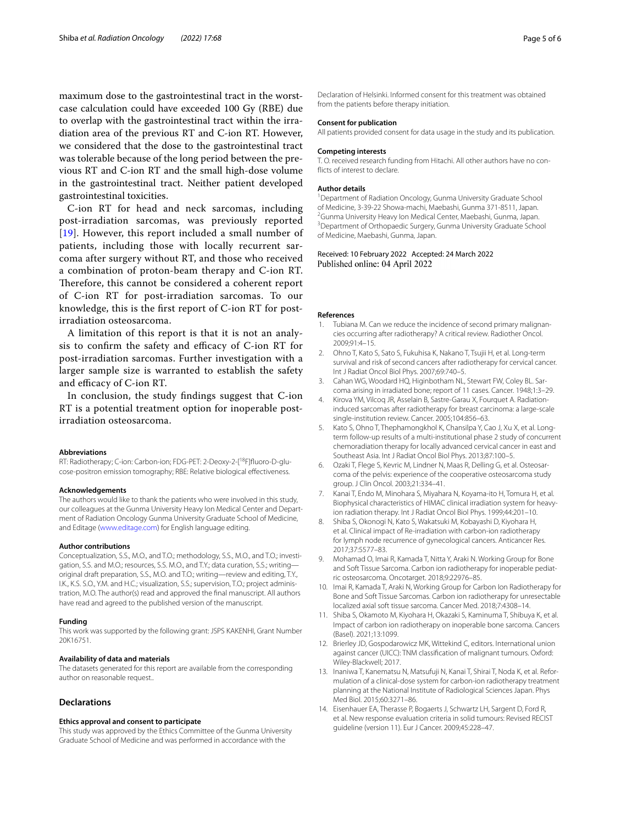maximum dose to the gastrointestinal tract in the worstcase calculation could have exceeded 100 Gy (RBE) due to overlap with the gastrointestinal tract within the irradiation area of the previous RT and C-ion RT. However, we considered that the dose to the gastrointestinal tract was tolerable because of the long period between the previous RT and C-ion RT and the small high-dose volume in the gastrointestinal tract. Neither patient developed gastrointestinal toxicities.

C-ion RT for head and neck sarcomas, including post-irradiation sarcomas, was previously reported [[19](#page-5-4)]. However, this report included a small number of patients, including those with locally recurrent sarcoma after surgery without RT, and those who received a combination of proton-beam therapy and C-ion RT. Therefore, this cannot be considered a coherent report of C-ion RT for post-irradiation sarcomas. To our knowledge, this is the frst report of C-ion RT for postirradiation osteosarcoma.

A limitation of this report is that it is not an analysis to confirm the safety and efficacy of C-ion RT for post-irradiation sarcomas. Further investigation with a larger sample size is warranted to establish the safety and efficacy of C-ion RT.

In conclusion, the study fndings suggest that C-ion RT is a potential treatment option for inoperable postirradiation osteosarcoma.

#### **Abbreviations**

RT: Radiotherapy; C-ion: Carbon-ion; FDG-PET: 2-Deoxy-2-[18F]fuoro-D-glucose-positron emission tomography; RBE: Relative biological efectiveness.

#### **Acknowledgements**

The authors would like to thank the patients who were involved in this study, our colleagues at the Gunma University Heavy Ion Medical Center and Department of Radiation Oncology Gunma University Graduate School of Medicine, and Editage [\(www.editage.com\)](http://www.editage.com) for English language editing.

#### **Author contributions**

Conceptualization, S.S., M.O., and T.O.; methodology, S.S., M.O., and T.O.; investigation, S.S. and M.O.; resources, S.S. M.O., and T.Y.; data curation, S.S.; writing original draft preparation, S.S., M.O. and T.O.; writing—review and editing, T.Y., I.K., K.S. S.O., Y.M. and H.C.; visualization, S.S.; supervision, T.O.; project administration, M.O. The author(s) read and approved the fnal manuscript. All authors have read and agreed to the published version of the manuscript.

#### **Funding**

This work was supported by the following grant: JSPS KAKENHI, Grant Number 20K16751.

#### **Availability of data and materials**

The datasets generated for this report are available from the corresponding author on reasonable request..

#### **Declarations**

#### **Ethics approval and consent to participate**

This study was approved by the Ethics Committee of the Gunma University Graduate School of Medicine and was performed in accordance with the

Declaration of Helsinki. Informed consent for this treatment was obtained from the patients before therapy initiation.

## **Consent for publication**

All patients provided consent for data usage in the study and its publication.

#### **Competing interests**

T. O. received research funding from Hitachi. All other authors have no conficts of interest to declare.

## **Author details**

<sup>1</sup> Department of Radiation Oncology, Gunma University Graduate School of Medicine, 3-39-22 Showa-machi, Maebashi, Gunma 371-8511, Japan. 2 <sup>2</sup> Gunma University Heavy Ion Medical Center, Maebashi, Gunma, Japan. <sup>3</sup> Department of Orthopaedic Surgery, Gunma University Graduate School of Medicine, Maebashi, Gunma, Japan.

## Received: 10 February 2022 Accepted: 24 March 2022 Published online: 04 April 2022

#### **References**

- <span id="page-4-0"></span>1. Tubiana M. Can we reduce the incidence of second primary malignancies occurring after radiotherapy? A critical review. Radiother Oncol. 2009;91:4–15.
- <span id="page-4-1"></span>2. Ohno T, Kato S, Sato S, Fukuhisa K, Nakano T, Tsujii H, et al. Long-term survival and risk of second cancers after radiotherapy for cervical cancer. Int J Radiat Oncol Biol Phys. 2007;69:740–5.
- <span id="page-4-2"></span>3. Cahan WG, Woodard HQ, Higinbotham NL, Stewart FW, Coley BL. Sarcoma arising in irradiated bone; report of 11 cases. Cancer. 1948;1:3–29.
- <span id="page-4-3"></span>4. Kirova YM, Vilcoq JR, Asselain B, Sastre-Garau X, Fourquet A. Radiationinduced sarcomas after radiotherapy for breast carcinoma: a large-scale single-institution review. Cancer. 2005;104:856–63.
- <span id="page-4-4"></span>5. Kato S, Ohno T, Thephamongkhol K, Chansilpa Y, Cao J, Xu X, et al. Longterm follow-up results of a multi-institutional phase 2 study of concurrent chemoradiation therapy for locally advanced cervical cancer in east and Southeast Asia. Int J Radiat Oncol Biol Phys. 2013;87:100–5.
- <span id="page-4-5"></span>6. Ozaki T, Flege S, Kevric M, Lindner N, Maas R, Delling G, et al. Osteosarcoma of the pelvis: experience of the cooperative osteosarcoma study group. J Clin Oncol. 2003;21:334–41.
- <span id="page-4-6"></span>7. Kanai T, Endo M, Minohara S, Miyahara N, Koyama-ito H, Tomura H, et al. Biophysical characteristics of HIMAC clinical irradiation system for heavyion radiation therapy. Int J Radiat Oncol Biol Phys. 1999;44:201–10.
- <span id="page-4-7"></span>8. Shiba S, Okonogi N, Kato S, Wakatsuki M, Kobayashi D, Kiyohara H, et al. Clinical impact of Re-irradiation with carbon-ion radiotherapy for lymph node recurrence of gynecological cancers. Anticancer Res. 2017;37:5577–83.
- <span id="page-4-8"></span>9. Mohamad O, Imai R, Kamada T, Nitta Y, Araki N. Working Group for Bone and Soft Tissue Sarcoma. Carbon ion radiotherapy for inoperable pediatric osteosarcoma. Oncotarget. 2018;9:22976–85.
- 10. Imai R, Kamada T, Araki N, Working Group for Carbon Ion Radiotherapy for Bone and Soft Tissue Sarcomas. Carbon ion radiotherapy for unresectable localized axial soft tissue sarcoma. Cancer Med. 2018;7:4308–14.
- <span id="page-4-9"></span>11. Shiba S, Okamoto M, Kiyohara H, Okazaki S, Kaminuma T, Shibuya K, et al. Impact of carbon ion radiotherapy on inoperable bone sarcoma. Cancers (Basel). 2021;13:1099.
- <span id="page-4-10"></span>12. Brierley JD, Gospodarowicz MK, Wittekind C, editors. International union against cancer (UICC): TNM classifcation of malignant tumours. Oxford: Wiley-Blackwell; 2017.
- <span id="page-4-11"></span>13. Inaniwa T, Kanematsu N, Matsufuji N, Kanai T, Shirai T, Noda K, et al. Reformulation of a clinical-dose system for carbon-ion radiotherapy treatment planning at the National Institute of Radiological Sciences Japan. Phys Med Biol. 2015;60:3271–86.
- <span id="page-4-12"></span>14. Eisenhauer EA, Therasse P, Bogaerts J, Schwartz LH, Sargent D, Ford R, et al. New response evaluation criteria in solid tumours: Revised RECIST guideline (version 11). Eur J Cancer. 2009;45:228–47.